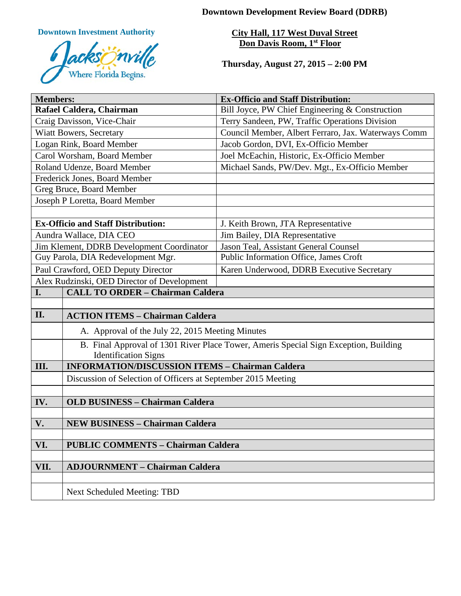**Downtown Development Review Board (DDRB)**

**Downtown Investment Authority**



**City Hall, 117 West Duval Street Don Davis Room, 1st Floor** 

**Thursday, August 27, 2015 – 2:00 PM**

| <b>Members:</b>                             |                                                                                      | <b>Ex-Officio and Staff Distribution:</b>           |
|---------------------------------------------|--------------------------------------------------------------------------------------|-----------------------------------------------------|
| Rafael Caldera, Chairman                    |                                                                                      | Bill Joyce, PW Chief Engineering & Construction     |
| Craig Davisson, Vice-Chair                  |                                                                                      | Terry Sandeen, PW, Traffic Operations Division      |
| <b>Wiatt Bowers, Secretary</b>              |                                                                                      | Council Member, Albert Ferraro, Jax. Waterways Comm |
| Logan Rink, Board Member                    |                                                                                      | Jacob Gordon, DVI, Ex-Officio Member                |
| Carol Worsham, Board Member                 |                                                                                      | Joel McEachin, Historic, Ex-Officio Member          |
| Roland Udenze, Board Member                 |                                                                                      | Michael Sands, PW/Dev. Mgt., Ex-Officio Member      |
| Frederick Jones, Board Member               |                                                                                      |                                                     |
| Greg Bruce, Board Member                    |                                                                                      |                                                     |
|                                             | Joseph P Loretta, Board Member                                                       |                                                     |
|                                             |                                                                                      |                                                     |
| <b>Ex-Officio and Staff Distribution:</b>   |                                                                                      | J. Keith Brown, JTA Representative                  |
| Aundra Wallace, DIA CEO                     |                                                                                      | Jim Bailey, DIA Representative                      |
| Jim Klement, DDRB Development Coordinator   |                                                                                      | Jason Teal, Assistant General Counsel               |
| Guy Parola, DIA Redevelopment Mgr.          |                                                                                      | Public Information Office, James Croft              |
| Paul Crawford, OED Deputy Director          |                                                                                      | Karen Underwood, DDRB Executive Secretary           |
| Alex Rudzinski, OED Director of Development |                                                                                      |                                                     |
| I.                                          | <b>CALL TO ORDER - Chairman Caldera</b>                                              |                                                     |
|                                             |                                                                                      |                                                     |
| II.                                         | <b>ACTION ITEMS - Chairman Caldera</b>                                               |                                                     |
|                                             | A. Approval of the July 22, 2015 Meeting Minutes                                     |                                                     |
|                                             | B. Final Approval of 1301 River Place Tower, Ameris Special Sign Exception, Building |                                                     |
|                                             | <b>Identification Signs</b>                                                          |                                                     |
| III.                                        | <b>INFORMATION/DISCUSSION ITEMS - Chairman Caldera</b>                               |                                                     |
|                                             | Discussion of Selection of Officers at September 2015 Meeting                        |                                                     |
|                                             |                                                                                      |                                                     |
| IV.                                         | <b>OLD BUSINESS - Chairman Caldera</b>                                               |                                                     |
|                                             |                                                                                      |                                                     |
| V.                                          | <b>NEW BUSINESS - Chairman Caldera</b>                                               |                                                     |
| VI.                                         | <b>PUBLIC COMMENTS - Chairman Caldera</b>                                            |                                                     |
|                                             |                                                                                      |                                                     |
| VII.                                        | <b>ADJOURNMENT - Chairman Caldera</b>                                                |                                                     |
|                                             |                                                                                      |                                                     |
|                                             | Next Scheduled Meeting: TBD                                                          |                                                     |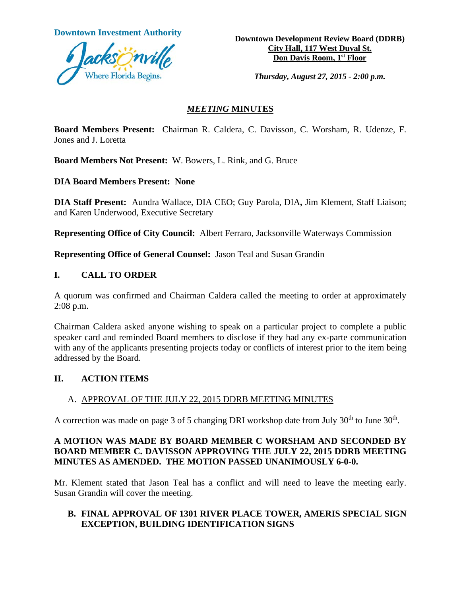

**Downtown Investment Authority Downtown Development Review Board (DDRB) City Hall, 117 West Duval St. Don Davis Room, 1st Floor**

*Thursday, August 27, 2015 - 2:00 p.m.*

#### *MEETING* **MINUTES**

**Board Members Present:** Chairman R. Caldera, C. Davisson, C. Worsham, R. Udenze, F. Jones and J. Loretta

**Board Members Not Present:** W. Bowers, L. Rink, and G. Bruce

**DIA Board Members Present: None**

**DIA Staff Present:** Aundra Wallace, DIA CEO; Guy Parola, DIA**,** Jim Klement, Staff Liaison; and Karen Underwood, Executive Secretary

**Representing Office of City Council:** Albert Ferraro, Jacksonville Waterways Commission

**Representing Office of General Counsel:** Jason Teal and Susan Grandin

## **I. CALL TO ORDER**

A quorum was confirmed and Chairman Caldera called the meeting to order at approximately 2:08 p.m.

Chairman Caldera asked anyone wishing to speak on a particular project to complete a public speaker card and reminded Board members to disclose if they had any ex-parte communication with any of the applicants presenting projects today or conflicts of interest prior to the item being addressed by the Board.

## **II. ACTION ITEMS**

## A. APPROVAL OF THE JULY 22, 2015 DDRB MEETING MINUTES

A correction was made on page 3 of 5 changing DRI workshop date from July  $30<sup>th</sup>$  to June  $30<sup>th</sup>$ .

## **A MOTION WAS MADE BY BOARD MEMBER C WORSHAM AND SECONDED BY BOARD MEMBER C. DAVISSON APPROVING THE JULY 22, 2015 DDRB MEETING MINUTES AS AMENDED. THE MOTION PASSED UNANIMOUSLY 6-0-0.**

Mr. Klement stated that Jason Teal has a conflict and will need to leave the meeting early. Susan Grandin will cover the meeting.

#### **B. FINAL APPROVAL OF 1301 RIVER PLACE TOWER, AMERIS SPECIAL SIGN EXCEPTION, BUILDING IDENTIFICATION SIGNS**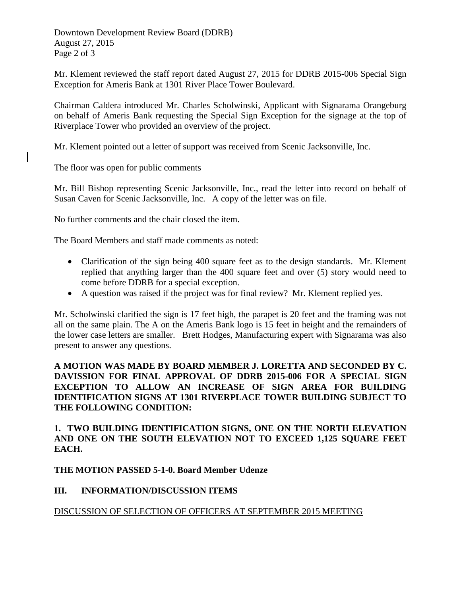Downtown Development Review Board (DDRB) August 27, 2015 Page 2 of 3

Mr. Klement reviewed the staff report dated August 27, 2015 for DDRB 2015-006 Special Sign Exception for Ameris Bank at 1301 River Place Tower Boulevard.

Chairman Caldera introduced Mr. Charles Scholwinski, Applicant with Signarama Orangeburg on behalf of Ameris Bank requesting the Special Sign Exception for the signage at the top of Riverplace Tower who provided an overview of the project.

Mr. Klement pointed out a letter of support was received from Scenic Jacksonville, Inc.

The floor was open for public comments

Mr. Bill Bishop representing Scenic Jacksonville, Inc., read the letter into record on behalf of Susan Caven for Scenic Jacksonville, Inc. A copy of the letter was on file.

No further comments and the chair closed the item.

The Board Members and staff made comments as noted:

- Clarification of the sign being 400 square feet as to the design standards. Mr. Klement replied that anything larger than the 400 square feet and over (5) story would need to come before DDRB for a special exception.
- A question was raised if the project was for final review? Mr. Klement replied yes.

Mr. Scholwinski clarified the sign is 17 feet high, the parapet is 20 feet and the framing was not all on the same plain. The A on the Ameris Bank logo is 15 feet in height and the remainders of the lower case letters are smaller. Brett Hodges, Manufacturing expert with Signarama was also present to answer any questions.

#### **A MOTION WAS MADE BY BOARD MEMBER J. LORETTA AND SECONDED BY C. DAVISSION FOR FINAL APPROVAL OF DDRB 2015-006 FOR A SPECIAL SIGN EXCEPTION TO ALLOW AN INCREASE OF SIGN AREA FOR BUILDING IDENTIFICATION SIGNS AT 1301 RIVERPLACE TOWER BUILDING SUBJECT TO THE FOLLOWING CONDITION:**

## **1. TWO BUILDING IDENTIFICATION SIGNS, ONE ON THE NORTH ELEVATION AND ONE ON THE SOUTH ELEVATION NOT TO EXCEED 1,125 SQUARE FEET EACH.**

## **THE MOTION PASSED 5-1-0. Board Member Udenze**

## **III. INFORMATION/DISCUSSION ITEMS**

## DISCUSSION OF SELECTION OF OFFICERS AT SEPTEMBER 2015 MEETING